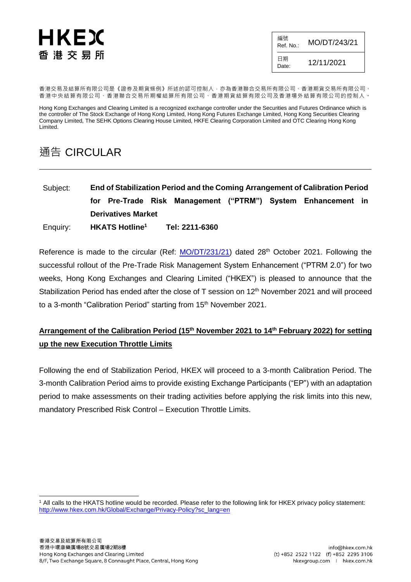# HKEX 香 港 交 易 所

| 編號<br>Ref. No.: | MO/DT/243/21 |
|-----------------|--------------|
| 日期<br>Date:     | 12/11/2021   |

香港交易及結算所有限公司是《證券及期貨條例》所述的認可控制人,亦為香港聯合交易所有限公司、香港期貨交易所有限公司、 香港中央結算有限公司、香港聯合交易所期權結算所有限公司、香港期貨結算有限公司及香港場外結算有限公司的控制人。

Hong Kong Exchanges and Clearing Limited is a recognized exchange controller under the Securities and Futures Ordinance which is the controller of The Stock Exchange of Hong Kong Limited, Hong Kong Futures Exchange Limited, Hong Kong Securities Clearing Company Limited, The SEHK Options Clearing House Limited, HKFE Clearing Corporation Limited and OTC Clearing Hong Kong Limited.

# 通告 CIRCULAR

Subject: **End of Stabilization Period and the Coming Arrangement of Calibration Period for Pre-Trade Risk Management ("PTRM") System Enhancement in Derivatives Market** Enquiry: **HKATS Hotline<sup>1</sup> Tel: 2211-6360**

Reference is made to the circular (Ref: [MO/DT/231/21\)](https://www.hkex.com.hk/-/media/HKEX-Market/Services/Circulars-and-Notices/Participant-and-Members-Circulars/HKFE/2021/ce_HKFE_DT_231_2021.pdf) dated 28<sup>th</sup> October 2021. Following the successful rollout of the Pre-Trade Risk Management System Enhancement ("PTRM 2.0") for two weeks, Hong Kong Exchanges and Clearing Limited ("HKEX") is pleased to announce that the Stabilization Period has ended after the close of T session on 12<sup>th</sup> November 2021 and will proceed to a 3-month "Calibration Period" starting from 15<sup>th</sup> November 2021.

# **Arrangement of the Calibration Period (15th November 2021 to 14th February 2022) for setting up the new Execution Throttle Limits**

Following the end of Stabilization Period, HKEX will proceed to a 3-month Calibration Period. The 3-month Calibration Period aims to provide existing Exchange Participants ("EP") with an adaptation period to make assessments on their trading activities before applying the risk limits into this new, mandatory Prescribed Risk Control – Execution Throttle Limits.

l <sup>1</sup> All calls to the HKATS hotline would be recorded. Please refer to the following link for HKEX privacy policy statement: [http://www.hkex.com.hk/Global/Exchange/Privacy-Policy?sc\\_lang=en](http://www.hkex.com.hk/Global/Exchange/Privacy-Policy?sc_lang=en)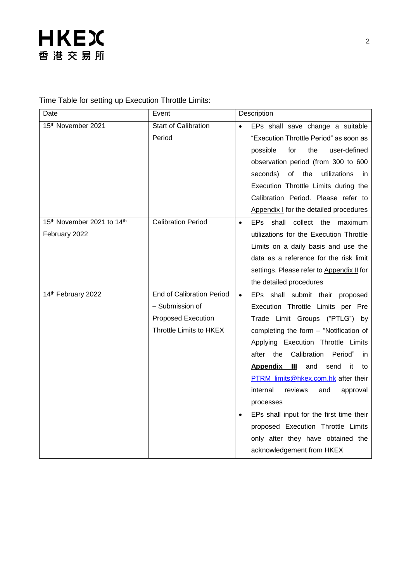Time Table for setting up Execution Throttle Limits:

| Date                       | Event                            |           | Description                                     |  |  |
|----------------------------|----------------------------------|-----------|-------------------------------------------------|--|--|
| 15th November 2021         | <b>Start of Calibration</b>      |           | EPs shall save change a suitable                |  |  |
|                            | Period                           |           | "Execution Throttle Period" as soon as          |  |  |
|                            |                                  |           | the<br>user-defined<br>possible<br>for          |  |  |
|                            |                                  |           | observation period (from 300 to 600             |  |  |
|                            |                                  |           | utilizations<br>οf<br>the<br>seconds)<br>in.    |  |  |
|                            |                                  |           | Execution Throttle Limits during the            |  |  |
|                            |                                  |           | Calibration Period. Please refer to             |  |  |
|                            |                                  |           | Appendix I for the detailed procedures          |  |  |
| 15th November 2021 to 14th | <b>Calibration Period</b>        | $\bullet$ | shall collect the maximum<br>EPs                |  |  |
| February 2022              |                                  |           | utilizations for the Execution Throttle         |  |  |
|                            |                                  |           | Limits on a daily basis and use the             |  |  |
|                            |                                  |           | data as a reference for the risk limit          |  |  |
|                            |                                  |           | settings. Please refer to Appendix II for       |  |  |
|                            |                                  |           | the detailed procedures                         |  |  |
| 14th February 2022         | <b>End of Calibration Period</b> | $\bullet$ | EPs shall submit their proposed                 |  |  |
|                            | - Submission of                  |           | Execution Throttle Limits per Pre               |  |  |
|                            | <b>Proposed Execution</b>        |           | Trade Limit Groups ("PTLG") by                  |  |  |
|                            | Throttle Limits to HKEX          |           | completing the form - "Notification of          |  |  |
|                            |                                  |           | Applying Execution Throttle Limits              |  |  |
|                            |                                  |           | Calibration<br>Period"<br>the<br>after<br>in.   |  |  |
|                            |                                  |           | <b>Appendix</b><br>Ш<br>and<br>send<br>it<br>to |  |  |
|                            |                                  |           | PTRM_limits@hkex.com.hk after their             |  |  |
|                            |                                  |           | internal<br>reviews<br>and<br>approval          |  |  |
|                            |                                  |           | processes                                       |  |  |
|                            |                                  |           | EPs shall input for the first time their        |  |  |
|                            |                                  |           | proposed Execution Throttle Limits              |  |  |
|                            |                                  |           | only after they have obtained the               |  |  |
|                            |                                  |           | acknowledgement from HKEX                       |  |  |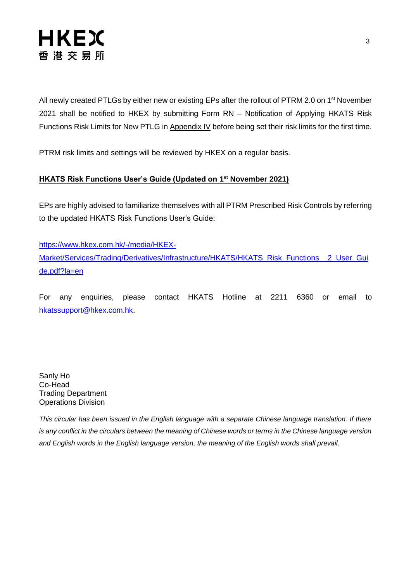

All newly created PTLGs by either new or existing EPs after the rollout of PTRM 2.0 on 1<sup>st</sup> November 2021 shall be notified to HKEX by submitting Form RN – Notification of Applying HKATS Risk Functions Risk Limits for New PTLG in Appendix IV before being set their risk limits for the first time.

PTRM risk limits and settings will be reviewed by HKEX on a regular basis.

#### **HKATS Risk Functions User's Guide (Updated on 1 st November 2021)**

EPs are highly advised to familiarize themselves with all PTRM Prescribed Risk Controls by referring to the updated HKATS Risk Functions User's Guide:

[https://www.hkex.com.hk/-/media/HKEX-](https://www.hkex.com.hk/-/media/HKEX-Market/Services/Trading/Derivatives/Infrastructure/HKATS/HKATS_Risk_Functions__2_User_Guide.pdf?la=en)[Market/Services/Trading/Derivatives/Infrastructure/HKATS/HKATS\\_Risk\\_Functions\\_\\_2\\_User\\_Gui](https://www.hkex.com.hk/-/media/HKEX-Market/Services/Trading/Derivatives/Infrastructure/HKATS/HKATS_Risk_Functions__2_User_Guide.pdf?la=en) [de.pdf?la=en](https://www.hkex.com.hk/-/media/HKEX-Market/Services/Trading/Derivatives/Infrastructure/HKATS/HKATS_Risk_Functions__2_User_Guide.pdf?la=en)

For any enquiries, please contact HKATS Hotline at 2211 6360 or email to [hkatssupport@hkex.com.hk.](mailto:hkatssupport@hkex.com.hk)

Sanly Ho Co-Head Trading Department Operations Division

*This circular has been issued in the English language with a separate Chinese language translation. If there is any conflict in the circulars between the meaning of Chinese words or terms in the Chinese language version and English words in the English language version, the meaning of the English words shall prevail.*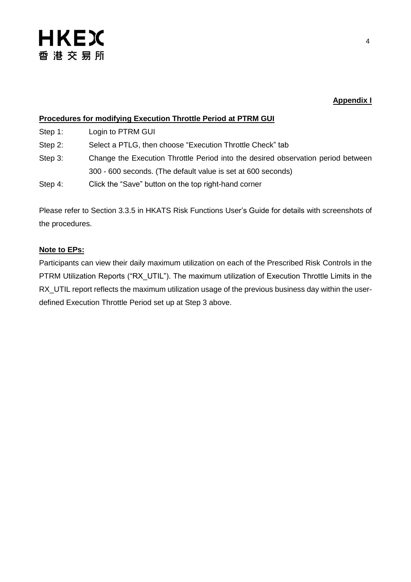### **Appendix I**

### **Procedures for modifying Execution Throttle Period at PTRM GUI**

Step 1: Login to PTRM GUI

- Step 2: Select a PTLG, then choose "Execution Throttle Check" tab
- Step 3: Change the Execution Throttle Period into the desired observation period between 300 - 600 seconds. (The default value is set at 600 seconds)
- Step 4: Click the "Save" button on the top right-hand corner

Please refer to Section 3.3.5 in HKATS Risk Functions User's Guide for details with screenshots of the procedures.

#### **Note to EPs:**

Participants can view their daily maximum utilization on each of the Prescribed Risk Controls in the PTRM Utilization Reports ("RX UTIL"). The maximum utilization of Execution Throttle Limits in the RX\_UTIL report reflects the maximum utilization usage of the previous business day within the userdefined Execution Throttle Period set up at Step 3 above.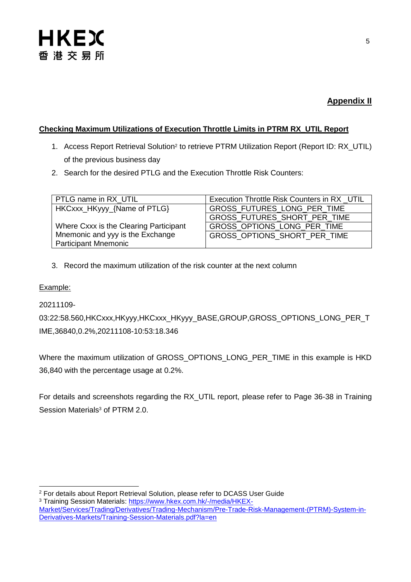## **Appendix II**

### **Checking Maximum Utilizations of Execution Throttle Limits in PTRM RX\_UTIL Report**

- 1. Access Report Retrieval Solution<sup>2</sup> to retrieve PTRM Utilization Report (Report ID: RX\_UTIL) of the previous business day
- 2. Search for the desired PTLG and the Execution Throttle Risk Counters:

| PTLG name in RX UTIL                   | Execution Throttle Risk Counters in RX UTIL |
|----------------------------------------|---------------------------------------------|
| HKCxxx_HKyyy_{Name of PTLG}            | GROSS_FUTURES_LONG_PER_TIME                 |
|                                        | GROSS_FUTURES_SHORT_PER_TIME                |
| Where Cxxx is the Clearing Participant | GROSS_OPTIONS_LONG_PER_TIME                 |
| Mnemonic and yyy is the Exchange       | GROSS OPTIONS SHORT PER TIME                |
| <b>Participant Mnemonic</b>            |                                             |

3. Record the maximum utilization of the risk counter at the next column

### Example:

20211109-

03:22:58.560,HKCxxx,HKyyy,HKCxxx\_HKyyy\_BASE,GROUP,GROSS\_OPTIONS\_LONG\_PER\_T IME,36840,0.2%,20211108-10:53:18.346

Where the maximum utilization of GROSS\_OPTIONS\_LONG\_PER\_TIME in this example is HKD 36,840 with the percentage usage at 0.2%.

For details and screenshots regarding the RX\_UTIL report, please refer to Page 36-38 in Training Session Materials<sup>3</sup> of PTRM 2.0.

l <sup>2</sup> For details about Report Retrieval Solution, please refer to DCASS User Guide

<sup>&</sup>lt;sup>3</sup> Training Session Materials: [https://www.hkex.com.hk/-/media/HKEX-](https://www.hkex.com.hk/-/media/HKEX-Market/Services/Trading/Derivatives/Trading-Mechanism/Pre-Trade-Risk-Management-(PTRM)-System-in-Derivatives-Markets/Training-Session-Materials.pdf?la=en)

[Market/Services/Trading/Derivatives/Trading-Mechanism/Pre-Trade-Risk-Management-\(PTRM\)-System-in-](https://www.hkex.com.hk/-/media/HKEX-Market/Services/Trading/Derivatives/Trading-Mechanism/Pre-Trade-Risk-Management-(PTRM)-System-in-Derivatives-Markets/Training-Session-Materials.pdf?la=en)[Derivatives-Markets/Training-Session-Materials.pdf?la=en](https://www.hkex.com.hk/-/media/HKEX-Market/Services/Trading/Derivatives/Trading-Mechanism/Pre-Trade-Risk-Management-(PTRM)-System-in-Derivatives-Markets/Training-Session-Materials.pdf?la=en)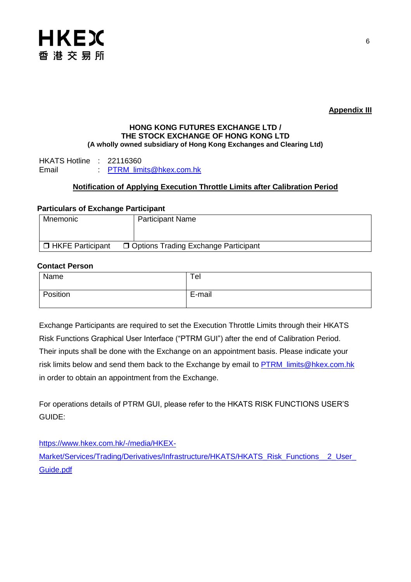

**Appendix III**

#### **HONG KONG FUTURES EXCHANGE LTD / THE STOCK EXCHANGE OF HONG KONG LTD (A wholly owned subsidiary of Hong Kong Exchanges and Clearing Ltd)**

HKATS Hotline : 22116360<br>Fmail : PTRM lim [PTRM\\_limits@hkex.com.hk](mailto:PTRM_limits@hkex.com.hk)

#### **Notification of Applying Execution Throttle Limits after Calibration Period**

#### **Particulars of Exchange Participant**

| Mnemonic           | <b>Participant Name</b>                |
|--------------------|----------------------------------------|
|                    |                                        |
| □ HKFE Participant | □ Options Trading Exchange Participant |

#### **Contact Person**

| Name     | Ter    |
|----------|--------|
| Position | E-mail |

Exchange Participants are required to set the Execution Throttle Limits through their HKATS Risk Functions Graphical User Interface ("PTRM GUI") after the end of Calibration Period. Their inputs shall be done with the Exchange on an appointment basis. Please indicate your risk limits below and send them back to the Exchange by email to **PTRM** limits@hkex.com.hk in order to obtain an appointment from the Exchange.

For operations details of PTRM GUI, please refer to the HKATS RISK FUNCTIONS USER'S GUIDE:

[https://www.hkex.com.hk/-/media/HKEX-](https://www.hkex.com.hk/-/media/HKEX-Market/Services/Trading/Derivatives/Infrastructure/HKATS/HKATS_Risk_Functions__2_User_Guide.pdf)[Market/Services/Trading/Derivatives/Infrastructure/HKATS/HKATS\\_Risk\\_Functions\\_\\_2\\_User\\_](https://www.hkex.com.hk/-/media/HKEX-Market/Services/Trading/Derivatives/Infrastructure/HKATS/HKATS_Risk_Functions__2_User_Guide.pdf) [Guide.pdf](https://www.hkex.com.hk/-/media/HKEX-Market/Services/Trading/Derivatives/Infrastructure/HKATS/HKATS_Risk_Functions__2_User_Guide.pdf)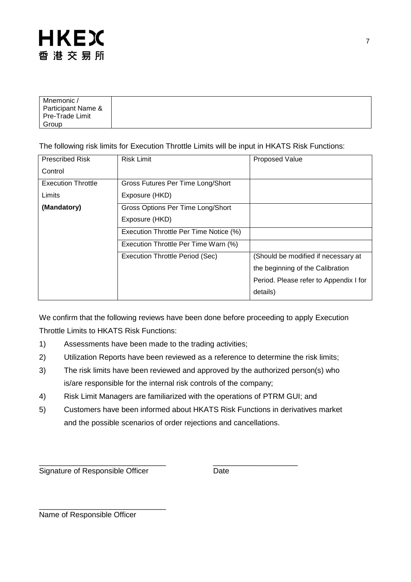| Mnemonic /         |  |
|--------------------|--|
| Participant Name & |  |
| Pre-Trade Limit    |  |
| Group              |  |

The following risk limits for Execution Throttle Limits will be input in HKATS Risk Functions:

| <b>Prescribed Risk</b>    | <b>Risk Limit</b>                      | <b>Proposed Value</b>                  |
|---------------------------|----------------------------------------|----------------------------------------|
| Control                   |                                        |                                        |
| <b>Execution Throttle</b> | Gross Futures Per Time Long/Short      |                                        |
| Limits                    | Exposure (HKD)                         |                                        |
| (Mandatory)               | Gross Options Per Time Long/Short      |                                        |
|                           | Exposure (HKD)                         |                                        |
|                           | Execution Throttle Per Time Notice (%) |                                        |
|                           | Execution Throttle Per Time Warn (%)   |                                        |
|                           | <b>Execution Throttle Period (Sec)</b> | (Should be modified if necessary at    |
|                           |                                        | the beginning of the Calibration       |
|                           |                                        | Period. Please refer to Appendix I for |
|                           |                                        | details)                               |

We confirm that the following reviews have been done before proceeding to apply Execution Throttle Limits to HKATS Risk Functions:

- 1) Assessments have been made to the trading activities;
- 2) Utilization Reports have been reviewed as a reference to determine the risk limits;
- 3) The risk limits have been reviewed and approved by the authorized person(s) who is/are responsible for the internal risk controls of the company;
- 4) Risk Limit Managers are familiarized with the operations of PTRM GUI; and
- 5) Customers have been informed about HKATS Risk Functions in derivatives market and the possible scenarios of order rejections and cancellations.

\_\_\_\_\_\_\_\_\_\_\_\_\_\_\_\_\_\_\_\_\_\_\_\_\_\_\_\_\_\_ \_\_\_\_\_\_\_\_\_\_\_\_\_\_\_\_\_\_\_\_ Signature of Responsible Officer **Date** 

\_\_\_\_\_\_\_\_\_\_\_\_\_\_\_\_\_\_\_\_\_\_\_\_\_\_\_\_\_\_

Name of Responsible Officer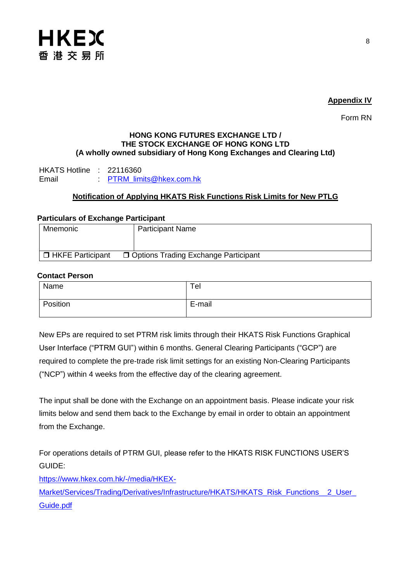

#### **Appendix IV**

Form RN

#### **HONG KONG FUTURES EXCHANGE LTD / THE STOCK EXCHANGE OF HONG KONG LTD (A wholly owned subsidiary of Hong Kong Exchanges and Clearing Ltd)**

HKATS Hotline : 22116360 Email : PTRM limits@hkex.com.hk

### **Notification of Applying HKATS Risk Functions Risk Limits for New PTLG**

#### **Particulars of Exchange Participant**

| Mnemonic           | <b>Participant Name</b>                |
|--------------------|----------------------------------------|
|                    |                                        |
| □ HKFE Participant | □ Options Trading Exchange Participant |

#### **Contact Person**

| Name     | Ter    |
|----------|--------|
| Position | E-mail |

New EPs are required to set PTRM risk limits through their HKATS Risk Functions Graphical User Interface ("PTRM GUI") within 6 months. General Clearing Participants ("GCP") are required to complete the pre-trade risk limit settings for an existing Non-Clearing Participants ("NCP") within 4 weeks from the effective day of the clearing agreement.

The input shall be done with the Exchange on an appointment basis. Please indicate your risk limits below and send them back to the Exchange by email in order to obtain an appointment from the Exchange.

For operations details of PTRM GUI, please refer to the HKATS RISK FUNCTIONS USER'S GUIDE:

[https://www.hkex.com.hk/-/media/HKEX-](https://www.hkex.com.hk/-/media/HKEX-Market/Services/Trading/Derivatives/Infrastructure/HKATS/HKATS_Risk_Functions__2_User_Guide.pdf)

Market/Services/Trading/Derivatives/Infrastructure/HKATS/HKATS\_Risk\_Functions\_\_2\_User [Guide.pdf](https://www.hkex.com.hk/-/media/HKEX-Market/Services/Trading/Derivatives/Infrastructure/HKATS/HKATS_Risk_Functions__2_User_Guide.pdf)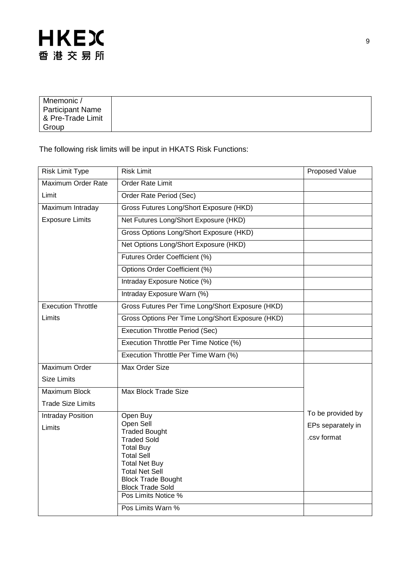| Mnemonic /<br>Participant Name<br>8 Pre-Trade Limit |  |
|-----------------------------------------------------|--|
| Group                                               |  |

The following risk limits will be input in HKATS Risk Functions:

| <b>Risk Limit Type</b>      | <b>Risk Limit</b>                                                                                                                                                                                                                            | Proposed Value                                        |
|-----------------------------|----------------------------------------------------------------------------------------------------------------------------------------------------------------------------------------------------------------------------------------------|-------------------------------------------------------|
| Maximum Order Rate          | Order Rate Limit                                                                                                                                                                                                                             |                                                       |
| Limit                       | Order Rate Period (Sec)                                                                                                                                                                                                                      |                                                       |
| Maximum Intraday            | Gross Futures Long/Short Exposure (HKD)                                                                                                                                                                                                      |                                                       |
| <b>Exposure Limits</b>      | Net Futures Long/Short Exposure (HKD)                                                                                                                                                                                                        |                                                       |
|                             | Gross Options Long/Short Exposure (HKD)                                                                                                                                                                                                      |                                                       |
|                             | Net Options Long/Short Exposure (HKD)                                                                                                                                                                                                        |                                                       |
|                             | Futures Order Coefficient (%)                                                                                                                                                                                                                |                                                       |
|                             | Options Order Coefficient (%)                                                                                                                                                                                                                |                                                       |
|                             | Intraday Exposure Notice (%)                                                                                                                                                                                                                 |                                                       |
|                             | Intraday Exposure Warn (%)                                                                                                                                                                                                                   |                                                       |
| <b>Execution Throttle</b>   | Gross Futures Per Time Long/Short Exposure (HKD)                                                                                                                                                                                             |                                                       |
| Limits                      | Gross Options Per Time Long/Short Exposure (HKD)                                                                                                                                                                                             |                                                       |
|                             | <b>Execution Throttle Period (Sec)</b>                                                                                                                                                                                                       |                                                       |
|                             | Execution Throttle Per Time Notice (%)                                                                                                                                                                                                       |                                                       |
|                             | Execution Throttle Per Time Warn (%)                                                                                                                                                                                                         |                                                       |
| Maximum Order               | Max Order Size                                                                                                                                                                                                                               |                                                       |
| <b>Size Limits</b>          |                                                                                                                                                                                                                                              |                                                       |
| Maximum Block               | Max Block Trade Size                                                                                                                                                                                                                         |                                                       |
| <b>Trade Size Limits</b>    |                                                                                                                                                                                                                                              |                                                       |
| Intraday Position<br>Limits | Open Buy<br>Open Sell<br><b>Traded Bought</b><br><b>Traded Sold</b><br><b>Total Buy</b><br><b>Total Sell</b><br><b>Total Net Buy</b><br><b>Total Net Sell</b><br><b>Block Trade Bought</b><br><b>Block Trade Sold</b><br>Pos Limits Notice % | To be provided by<br>EPs separately in<br>.csv format |
|                             | Pos Limits Warn %                                                                                                                                                                                                                            |                                                       |